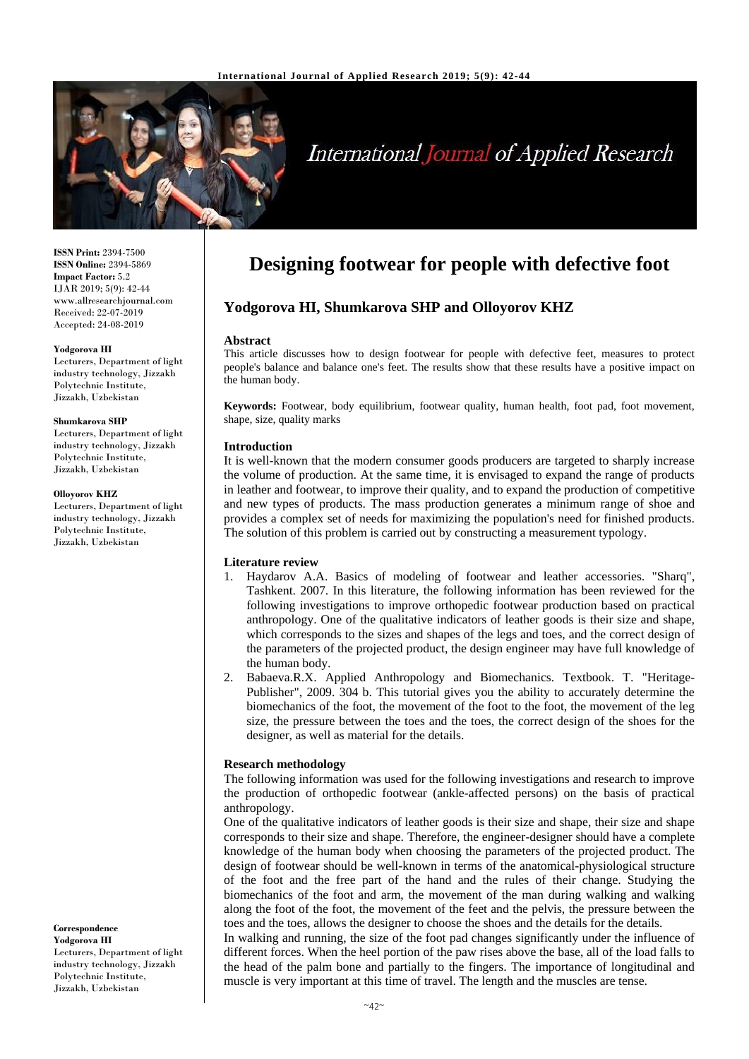

# **International Journal of Applied Research**

**ISSN Print:** 2394-7500 **ISSN Online:** 2394-5869 **Impact Factor:** 5.2 IJAR 2019; 5(9): 42-44 www.allresearchjournal.com Received: 22-07-2019 Accepted: 24-08-2019

#### **Yodgorova HI**

Lecturers, Department of light industry technology, Jizzakh Polytechnic Institute, Jizzakh, Uzbekistan

#### **Shumkarova SHP**

Lecturers, Department of light industry technology, Jizzakh Polytechnic Institute, Jizzakh, Uzbekistan

#### **Olloyorov KHZ**

Lecturers, Department of light industry technology, Jizzakh Polytechnic Institute, Jizzakh, Uzbekistan

**Correspondence Yodgorova HI** Lecturers, Department of light industry technology, Jizzakh Polytechnic Institute, Jizzakh, Uzbekistan

## **Designing footwear for people with defective foot**

### **Yodgorova HI, Shumkarova SHP and Olloyorov KHZ**

#### **Abstract**

This article discusses how to design footwear for people with defective feet, measures to protect people's balance and balance one's feet. The results show that these results have a positive impact on the human body.

**Keywords:** Footwear, body equilibrium, footwear quality, human health, foot pad, foot movement, shape, size, quality marks

#### **Introduction**

It is well-known that the modern consumer goods producers are targeted to sharply increase the volume of production. At the same time, it is envisaged to expand the range of products in leather and footwear, to improve their quality, and to expand the production of competitive and new types of products. The mass production generates a minimum range of shoe and provides a complex set of needs for maximizing the population's need for finished products. The solution of this problem is carried out by constructing a measurement typology.

#### **Literature review**

- 1. Haydarov A.A. Basics of modeling of footwear and leather accessories. "Sharq", Tashkent. 2007. In this literature, the following information has been reviewed for the following investigations to improve orthopedic footwear production based on practical anthropology. One of the qualitative indicators of leather goods is their size and shape, which corresponds to the sizes and shapes of the legs and toes, and the correct design of the parameters of the projected product, the design engineer may have full knowledge of the human body.
- 2. Babaeva.R.X. Applied Anthropology and Biomechanics. Textbook. T. "Heritage-Publisher", 2009. 304 b. This tutorial gives you the ability to accurately determine the biomechanics of the foot, the movement of the foot to the foot, the movement of the leg size, the pressure between the toes and the toes, the correct design of the shoes for the designer, as well as material for the details.

#### **Research methodology**

The following information was used for the following investigations and research to improve the production of orthopedic footwear (ankle-affected persons) on the basis of practical anthropology

One of the qualitative indicators of leather goods is their size and shape, their size and shape corresponds to their size and shape. Therefore, the engineer-designer should have a complete knowledge of the human body when choosing the parameters of the projected product. The design of footwear should be well-known in terms of the anatomical-physiological structure of the foot and the free part of the hand and the rules of their change. Studying the biomechanics of the foot and arm, the movement of the man during walking and walking along the foot of the foot, the movement of the feet and the pelvis, the pressure between the toes and the toes, allows the designer to choose the shoes and the details for the details.

In walking and running, the size of the foot pad changes significantly under the influence of different forces. When the heel portion of the paw rises above the base, all of the load falls to the head of the palm bone and partially to the fingers. The importance of longitudinal and muscle is very important at this time of travel. The length and the muscles are tense.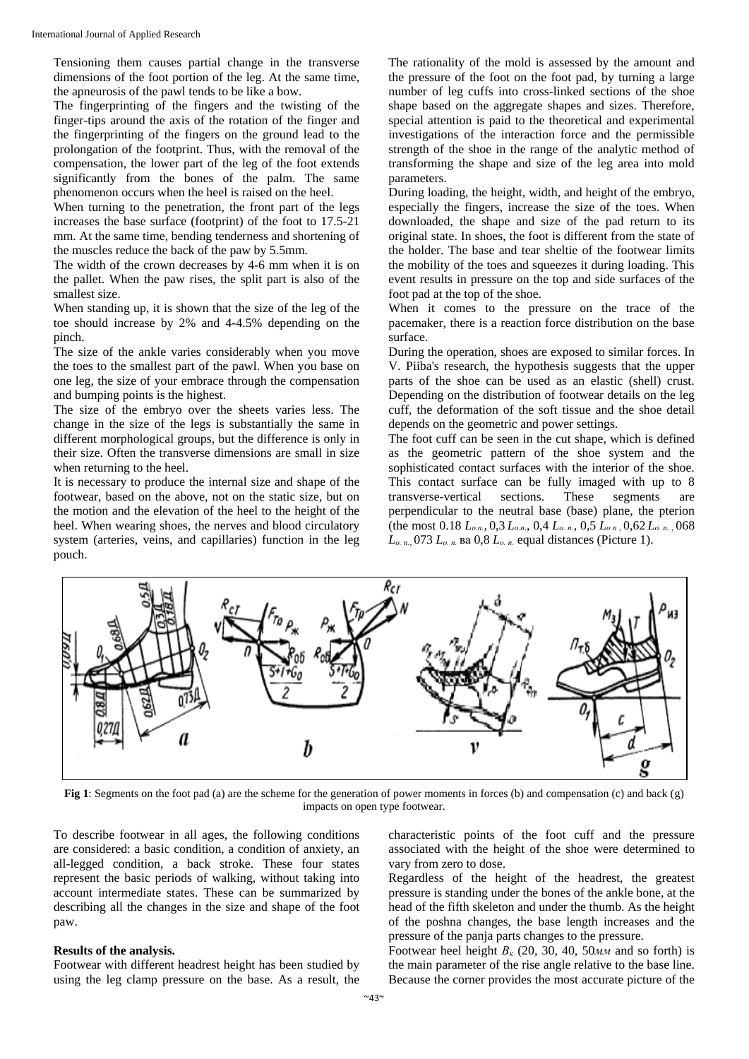Tensioning them causes partial change in the transverse dimensions of the foot portion of the leg. At the same time, the apneurosis of the pawl tends to be like a bow.

The fingerprinting of the fingers and the twisting of the finger-tips around the axis of the rotation of the finger and the fingerprinting of the fingers on the ground lead to the prolongation of the footprint. Thus, with the removal of the compensation, the lower part of the leg of the foot extends significantly from the bones of the palm. The same phenomenon occurs when the heel is raised on the heel.

When turning to the penetration, the front part of the legs increases the base surface (footprint) of the foot to 17.5-21 mm. At the same time, bending tenderness and shortening of the muscles reduce the back of the paw by 5.5mm.

The width of the crown decreases by 4-6 mm when it is on the pallet. When the paw rises, the split part is also of the smallest size.

When standing up, it is shown that the size of the leg of the toe should increase by 2% and 4-4.5% depending on the pinch.

The size of the ankle varies considerably when you move the toes to the smallest part of the pawl. When you base on one leg, the size of your embrace through the compensation and bumping points is the highest.

The size of the embryo over the sheets varies less. The change in the size of the legs is substantially the same in different morphological groups, but the difference is only in their size. Often the transverse dimensions are small in size when returning to the heel.

It is necessary to produce the internal size and shape of the footwear, based on the above, not on the static size, but on the motion and the elevation of the heel to the height of the heel. When wearing shoes, the nerves and blood circulatory system (arteries, veins, and capillaries) function in the leg pouch.

The rationality of the mold is assessed by the amount and the pressure of the foot on the foot pad, by turning a large number of leg cuffs into cross-linked sections of the shoe shape based on the aggregate shapes and sizes. Therefore, special attention is paid to the theoretical and experimental investigations of the interaction force and the permissible strength of the shoe in the range of the analytic method of transforming the shape and size of the leg area into mold parameters.

During loading, the height, width, and height of the embryo, especially the fingers, increase the size of the toes. When downloaded, the shape and size of the pad return to its original state. In shoes, the foot is different from the state of the holder. The base and tear sheltie of the footwear limits the mobility of the toes and squeezes it during loading. This event results in pressure on the top and side surfaces of the foot pad at the top of the shoe.

When it comes to the pressure on the trace of the pacemaker, there is a reaction force distribution on the base surface.

During the operation, shoes are exposed to similar forces. In V. Piiba's research, the hypothesis suggests that the upper parts of the shoe can be used as an elastic (shell) crust. Depending on the distribution of footwear details on the leg cuff, the deformation of the soft tissue and the shoe detail depends on the geometric and power settings.

The foot cuff can be seen in the cut shape, which is defined as the geometric pattern of the shoe system and the sophisticated contact surfaces with the interior of the shoe. This contact surface can be fully imaged with up to 8 transverse-vertical sections. These segments are perpendicular to the neutral base (base) plane, the pterion (the most 0.18 *Lо.п*., 0,3 *Lо.п*., 0,4 *Lо. п.*, 0,5 *Lо п* , 0,62 *Lо. п.* , 068 *Lо. п.*, 073 *Lо. п.* ва 0,8 *Lо. п.* equal distances (Picture 1).



**Fig 1**: Segments on the foot pad (a) are the scheme for the generation of power moments in forces (b) and compensation (c) and back (g) impacts on open type footwear.

To describe footwear in all ages, the following conditions are considered: a basic condition, a condition of anxiety, an all-legged condition, a back stroke. These four states represent the basic periods of walking, without taking into account intermediate states. These can be summarized by describing all the changes in the size and shape of the foot paw.

#### **Results of the analysis.**

Footwear with different headrest height has been studied by using the leg clamp pressure on the base. As a result, the characteristic points of the foot cuff and the pressure associated with the height of the shoe were determined to vary from zero to dose.

Regardless of the height of the headrest, the greatest pressure is standing under the bones of the ankle bone, at the head of the fifth skeleton and under the thumb. As the height of the poshna changes, the base length increases and the pressure of the panja parts changes to the pressure.

Footwear heel height  $B_k$  (20, 30, 40, 50*MM* and so forth) is the main parameter of the rise angle relative to the base line. Because the corner provides the most accurate picture of the